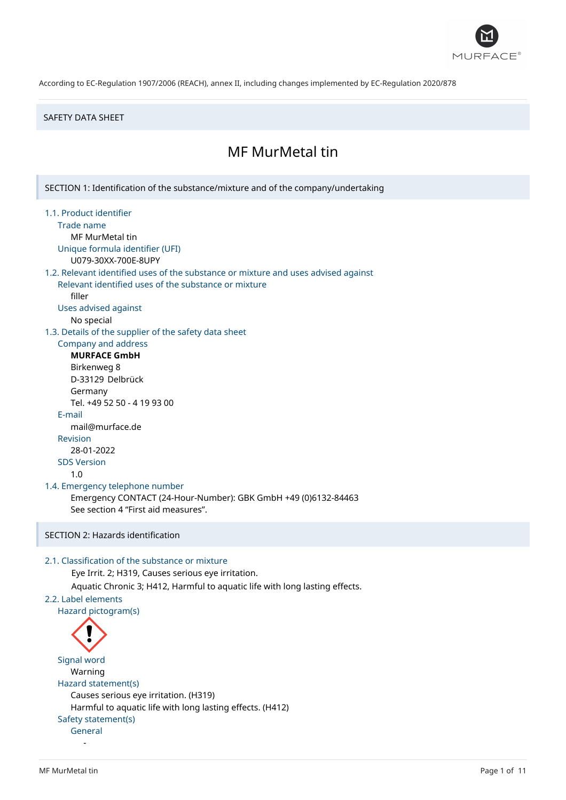

### SAFETY DATA SHEET

# MF MurMetal tin

SECTION 1: Identification of the substance/mixture and of the company/undertaking

- 1.1. Product identifier
	- Trade name
	- MF MurMetal tin
	- Unique formula identifier (UFI) U079-30XX-700E-8UPY
	-

# 1.2. Relevant identified uses of the substance or mixture and uses advised against

Relevant identified uses of the substance or mixture filler

- Uses advised against
	- No special

1.3. Details of the supplier of the safety data sheet

# Company and address

**MURFACE GmbH** Birkenweg 8 D-33129 Delbrück Germany Tel. +49 52 50 - 4 19 93 00 E-mail mail@murface.de Revision 28-01-2022 SDS Version 1.0

### 1.4. Emergency telephone number

Emergency CONTACT (24-Hour-Number): GBK GmbH +49 (0)6132-84463 See section 4 "First aid measures".

# SECTION 2: Hazards identification

### 2.1. Classification of the substance or mixture

Eye Irrit. 2; H319, Causes serious eye irritation.

Aquatic Chronic 3; H412, Harmful to aquatic life with long lasting effects.

# 2.2. Label elements

Hazard pictogram(s)



# Signal word Warning Hazard statement(s) Causes serious eye irritation. (H319) Harmful to aquatic life with long lasting effects. (H412) Safety statement(s) General

-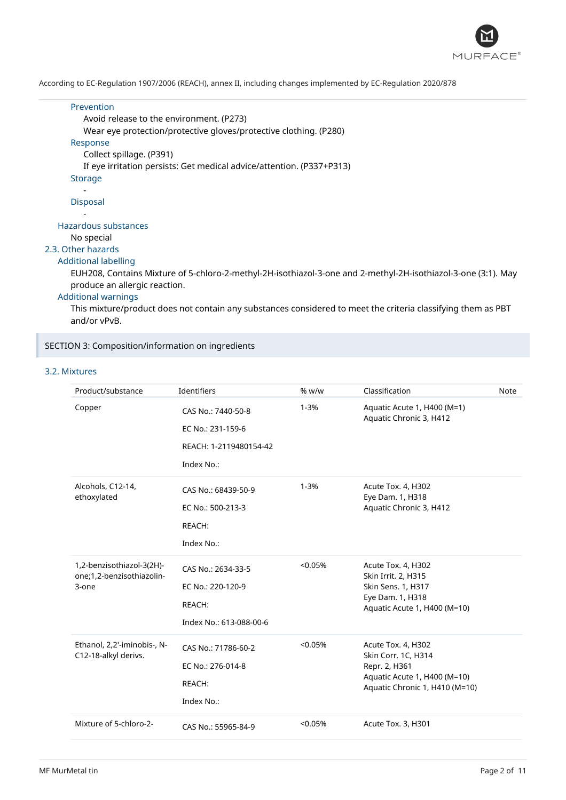

### Prevention Avoid release to the environment. (P273)

Wear eye protection/protective gloves/protective clothing. (P280)

# Response

Collect spillage. (P391)

If eye irritation persists: Get medical advice/attention. (P337+P313)

### Storage

### - Disposal

-

# Hazardous substances

No special

# 2.3. Other hazards

### Additional labelling

EUH208, Contains Mixture of 5-chloro-2-methyl-2H-isothiazol-3-one and 2-methyl-2H-isothiazol-3-one (3:1). May produce an allergic reaction.

# Additional warnings

This mixture/product does not contain any substances considered to meet the criteria classifying them as PBT and/or vPvB.

# SECTION 3: Composition/information on ingredients

# 3.2. Mixtures

| Product/substance                                   | Identifiers             | % w/w    | Classification                                         | Note |
|-----------------------------------------------------|-------------------------|----------|--------------------------------------------------------|------|
| Copper                                              | CAS No.: 7440-50-8      | $1 - 3%$ | Aquatic Acute 1, H400 (M=1)<br>Aquatic Chronic 3, H412 |      |
|                                                     | EC No.: 231-159-6       |          |                                                        |      |
|                                                     | REACH: 1-2119480154-42  |          |                                                        |      |
|                                                     | Index No.:              |          |                                                        |      |
| Alcohols, C12-14,<br>ethoxylated                    | CAS No.: 68439-50-9     | $1 - 3%$ | Acute Tox. 4, H302<br>Eye Dam. 1, H318                 |      |
|                                                     | EC No.: 500-213-3       |          | Aquatic Chronic 3, H412                                |      |
|                                                     | REACH:                  |          |                                                        |      |
|                                                     | Index No.:              |          |                                                        |      |
| 1,2-benzisothiazol-3(2H)-                           | CAS No.: 2634-33-5      | < 0.05%  | Acute Tox. 4, H302                                     |      |
| one;1,2-benzisothiazolin-<br>3-one                  | EC No.: 220-120-9       |          | Skin Irrit. 2, H315<br>Skin Sens. 1, H317              |      |
|                                                     | REACH:                  |          | Eye Dam. 1, H318<br>Aquatic Acute 1, H400 (M=10)       |      |
|                                                     | Index No.: 613-088-00-6 |          |                                                        |      |
| Ethanol, 2,2'-iminobis-, N-<br>C12-18-alkyl derivs. | CAS No.: 71786-60-2     | < 0.05%  | Acute Tox. 4, H302                                     |      |
|                                                     | EC No.: 276-014-8       |          | Skin Corr. 1C, H314<br>Repr. 2, H361                   |      |
|                                                     |                         |          | Aquatic Acute 1, H400 (M=10)                           |      |
|                                                     | REACH:                  |          | Aquatic Chronic 1, H410 (M=10)                         |      |
|                                                     | Index No.:              |          |                                                        |      |
| Mixture of 5-chloro-2-                              | CAS No.: 55965-84-9     | < 0.05%  | Acute Tox. 3, H301                                     |      |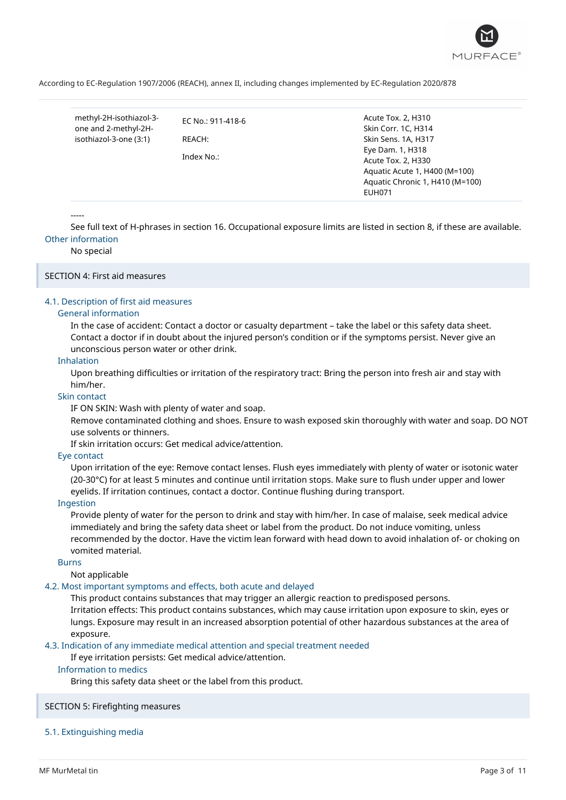

methyl-2H-isothiazol-3 one and 2-methyl-2Hisothiazol-3-one (3:1)

EC No.: 911-418-6 REACH:

Index No.:

Acute Tox. 2, H310 Skin Corr. 1C, H314 Skin Sens. 1A, H317 Eye Dam. 1, H318 Acute Tox. 2, H330 Aquatic Acute 1, H400 (M=100) Aquatic Chronic 1, H410 (M=100) EUH071

-----

See full text of H-phrases in section 16. Occupational exposure limits are listed in section 8, if these are available. Other information

No special

# SECTION 4: First aid measures

### 4.1. Description of first aid measures

#### General information

In the case of accident: Contact a doctor or casualty department – take the label or this safety data sheet. Contact a doctor if in doubt about the injured person's condition or if the symptoms persist. Never give an unconscious person water or other drink.

### Inhalation

Upon breathing difficulties or irritation of the respiratory tract: Bring the person into fresh air and stay with him/her.

### Skin contact

IF ON SKIN: Wash with plenty of water and soap.

Remove contaminated clothing and shoes. Ensure to wash exposed skin thoroughly with water and soap. DO NOT use solvents or thinners.

If skin irritation occurs: Get medical advice/attention.

### Eye contact

Upon irritation of the eye: Remove contact lenses. Flush eyes immediately with plenty of water or isotonic water (20-30°C) for at least 5 minutes and continue until irritation stops. Make sure to flush under upper and lower eyelids. If irritation continues, contact a doctor. Continue flushing during transport.

### Ingestion

Provide plenty of water for the person to drink and stay with him/her. In case of malaise, seek medical advice immediately and bring the safety data sheet or label from the product. Do not induce vomiting, unless recommended by the doctor. Have the victim lean forward with head down to avoid inhalation of- or choking on vomited material.

#### Burns

Not applicable

### 4.2. Most important symptoms and effects, both acute and delayed

This product contains substances that may trigger an allergic reaction to predisposed persons. Irritation effects: This product contains substances, which may cause irritation upon exposure to skin, eyes or lungs. Exposure may result in an increased absorption potential of other hazardous substances at the area of exposure.

### 4.3. Indication of any immediate medical attention and special treatment needed

If eye irritation persists: Get medical advice/attention.

# Information to medics

Bring this safety data sheet or the label from this product.

#### SECTION 5: Firefighting measures

#### 5.1. Extinguishing media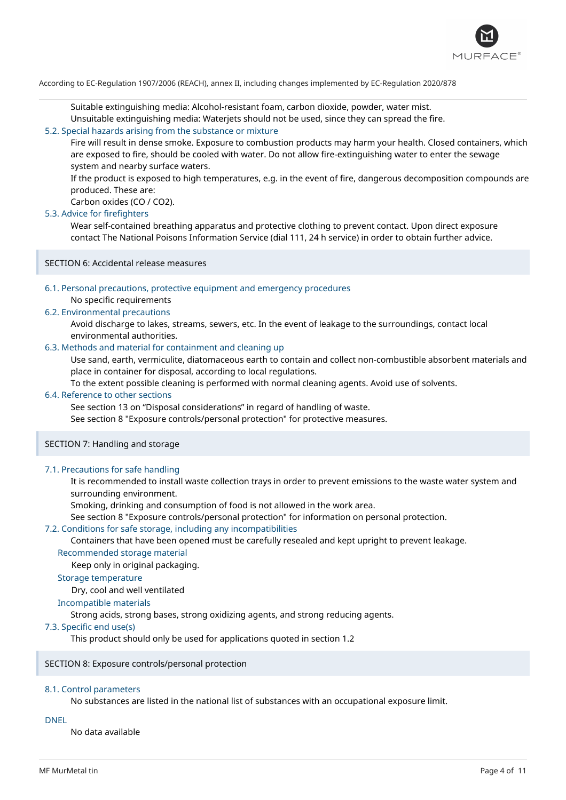

Suitable extinguishing media: Alcohol-resistant foam, carbon dioxide, powder, water mist.

Unsuitable extinguishing media: Waterjets should not be used, since they can spread the fire.

### 5.2. Special hazards arising from the substance or mixture

Fire will result in dense smoke. Exposure to combustion products may harm your health. Closed containers, which are exposed to fire, should be cooled with water. Do not allow fire-extinguishing water to enter the sewage system and nearby surface waters.

If the product is exposed to high temperatures, e.g. in the event of fire, dangerous decomposition compounds are produced. These are:

Carbon oxides (CO / CO2).

### 5.3. Advice for firefighters

Wear self-contained breathing apparatus and protective clothing to prevent contact. Upon direct exposure contact The National Poisons Information Service (dial 111, 24 h service) in order to obtain further advice.

SECTION 6: Accidental release measures

# 6.1. Personal precautions, protective equipment and emergency procedures

No specific requirements

### 6.2. Environmental precautions

Avoid discharge to lakes, streams, sewers, etc. In the event of leakage to the surroundings, contact local environmental authorities.

# 6.3. Methods and material for containment and cleaning up

Use sand, earth, vermiculite, diatomaceous earth to contain and collect non-combustible absorbent materials and place in container for disposal, according to local regulations.

To the extent possible cleaning is performed with normal cleaning agents. Avoid use of solvents.

# 6.4. Reference to other sections

See section 13 on "Disposal considerations" in regard of handling of waste.

See section 8 "Exposure controls/personal protection" for protective measures.

### SECTION 7: Handling and storage

### 7.1. Precautions for safe handling

It is recommended to install waste collection trays in order to prevent emissions to the waste water system and surrounding environment.

Smoking, drinking and consumption of food is not allowed in the work area.

See section 8 "Exposure controls/personal protection" for information on personal protection.

### 7.2. Conditions for safe storage, including any incompatibilities

Containers that have been opened must be carefully resealed and kept upright to prevent leakage.

# Recommended storage material

Keep only in original packaging.

# Storage temperature

Dry, cool and well ventilated

### Incompatible materials

Strong acids, strong bases, strong oxidizing agents, and strong reducing agents.

### 7.3. Specific end use(s)

This product should only be used for applications quoted in section 1.2

### SECTION 8: Exposure controls/personal protection

### 8.1. Control parameters

No substances are listed in the national list of substances with an occupational exposure limit.

### DNEL

No data available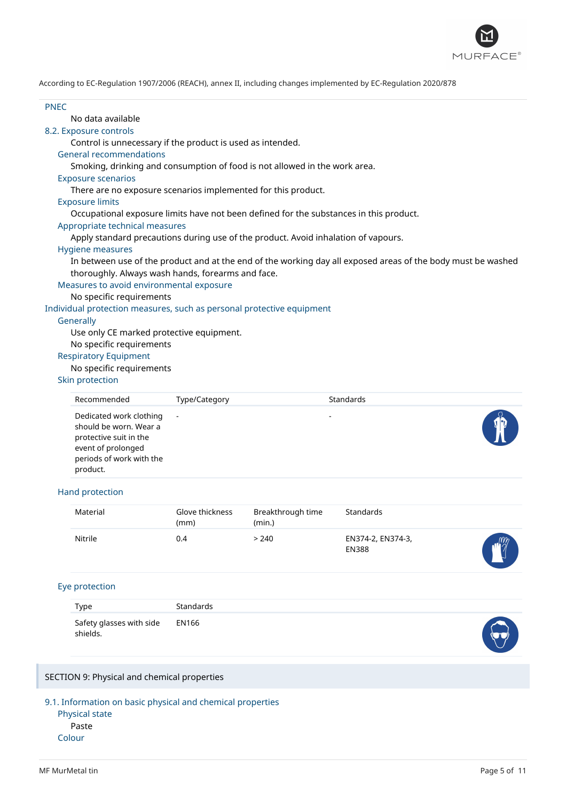

| <b>PNFC</b> |                                                                                        |                         |                             |                                                                                                              |  |
|-------------|----------------------------------------------------------------------------------------|-------------------------|-----------------------------|--------------------------------------------------------------------------------------------------------------|--|
|             | No data available                                                                      |                         |                             |                                                                                                              |  |
|             | 8.2. Exposure controls                                                                 |                         |                             |                                                                                                              |  |
|             | Control is unnecessary if the product is used as intended.                             |                         |                             |                                                                                                              |  |
|             | <b>General recommendations</b>                                                         |                         |                             |                                                                                                              |  |
|             | Smoking, drinking and consumption of food is not allowed in the work area.             |                         |                             |                                                                                                              |  |
|             | <b>Exposure scenarios</b>                                                              |                         |                             |                                                                                                              |  |
|             | There are no exposure scenarios implemented for this product.                          |                         |                             |                                                                                                              |  |
|             | <b>Exposure limits</b>                                                                 |                         |                             |                                                                                                              |  |
|             | Occupational exposure limits have not been defined for the substances in this product. |                         |                             |                                                                                                              |  |
|             | Appropriate technical measures                                                         |                         |                             |                                                                                                              |  |
|             | Apply standard precautions during use of the product. Avoid inhalation of vapours.     |                         |                             |                                                                                                              |  |
|             | <b>Hygiene measures</b>                                                                |                         |                             |                                                                                                              |  |
|             |                                                                                        |                         |                             | In between use of the product and at the end of the working day all exposed areas of the body must be washed |  |
|             | thoroughly. Always wash hands, forearms and face.                                      |                         |                             |                                                                                                              |  |
|             | Measures to avoid environmental exposure                                               |                         |                             |                                                                                                              |  |
|             | No specific requirements                                                               |                         |                             |                                                                                                              |  |
|             | Individual protection measures, such as personal protective equipment                  |                         |                             |                                                                                                              |  |
|             | Generally                                                                              |                         |                             |                                                                                                              |  |
|             | Use only CE marked protective equipment.                                               |                         |                             |                                                                                                              |  |
|             | No specific requirements                                                               |                         |                             |                                                                                                              |  |
|             | <b>Respiratory Equipment</b>                                                           |                         |                             |                                                                                                              |  |
|             | No specific requirements                                                               |                         |                             |                                                                                                              |  |
|             | Skin protection                                                                        |                         |                             |                                                                                                              |  |
|             | Recommended                                                                            | Type/Category           |                             | Standards                                                                                                    |  |
|             |                                                                                        |                         |                             |                                                                                                              |  |
|             | Dedicated work clothing<br>should be worn. Wear a                                      |                         |                             |                                                                                                              |  |
|             | protective suit in the                                                                 |                         |                             |                                                                                                              |  |
|             | event of prolonged                                                                     |                         |                             |                                                                                                              |  |
|             | periods of work with the                                                               |                         |                             |                                                                                                              |  |
|             | product.                                                                               |                         |                             |                                                                                                              |  |
|             | Hand protection                                                                        |                         |                             |                                                                                                              |  |
|             | Material                                                                               | Glove thickness<br>(mm) | Breakthrough time<br>(min.) | Standards                                                                                                    |  |
|             |                                                                                        |                         |                             |                                                                                                              |  |

| <b>IVIGLEI IGI</b> | <b>QIOVE LITILATIESS</b><br>(mm) | <b>DI CANUTI VUYIT UITIC</b><br>(min.) | stanuarus                         |                 |
|--------------------|----------------------------------|----------------------------------------|-----------------------------------|-----------------|
| Nitrile            | 0.4                              | > 240                                  | EN374-2, EN374-3,<br><b>EN388</b> | $m_{\tilde{z}}$ |

# Eye protection

| Type                                 | <b>Standards</b> |   |
|--------------------------------------|------------------|---|
| Safety glasses with side<br>shields. | EN166            | ╰ |

# SECTION 9: Physical and chemical properties

9.1. Information on basic physical and chemical properties

Physical state Paste

Colour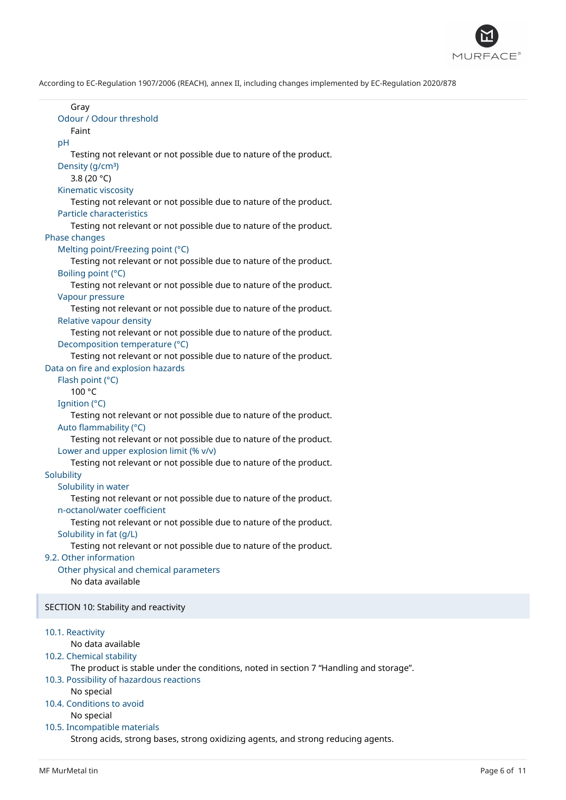

| Gray<br>Odour / Odour threshold<br>Faint                                                                                                   |
|--------------------------------------------------------------------------------------------------------------------------------------------|
| pH<br>Testing not relevant or not possible due to nature of the product.                                                                   |
| Density (g/cm <sup>3</sup> )<br>3.8 (20 $^{\circ}$ C)<br>Kinematic viscosity                                                               |
| Testing not relevant or not possible due to nature of the product.<br><b>Particle characteristics</b>                                      |
| Testing not relevant or not possible due to nature of the product.<br>Phase changes                                                        |
| Melting point/Freezing point (°C)<br>Testing not relevant or not possible due to nature of the product.                                    |
| Boiling point (°C)<br>Testing not relevant or not possible due to nature of the product.                                                   |
| Vapour pressure<br>Testing not relevant or not possible due to nature of the product.                                                      |
| Relative vapour density<br>Testing not relevant or not possible due to nature of the product.                                              |
| Decomposition temperature (°C)<br>Testing not relevant or not possible due to nature of the product.<br>Data on fire and explosion hazards |
| Flash point (°C)<br>100 °C                                                                                                                 |
| Ignition (°C)<br>Testing not relevant or not possible due to nature of the product.<br>Auto flammability (°C)                              |
| Testing not relevant or not possible due to nature of the product.<br>Lower and upper explosion limit (% v/v)                              |
| Testing not relevant or not possible due to nature of the product.<br>Solubility                                                           |
| Solubility in water<br>Testing not relevant or not possible due to nature of the product.<br>n-octanol/water coefficient                   |
| Testing not relevant or not possible due to nature of the product.<br>Solubility in fat (g/L)                                              |
| Testing not relevant or not possible due to nature of the product.<br>9.2. Other information                                               |
| Other physical and chemical parameters<br>No data available                                                                                |
| SECTION 10: Stability and reactivity                                                                                                       |
| 10.1. Reactivity<br>No data available                                                                                                      |
| 10.2. Chemical stability<br>The product is stable under the conditions, noted in section 7 "Handling and storage".                         |
| 10.3. Possibility of hazardous reactions<br>No special                                                                                     |
| 10.4. Conditions to avoid<br>No special                                                                                                    |
| 10.5. Incompatible materials<br>Strong acids, strong bases, strong oxidizing agents, and strong reducing agents.                           |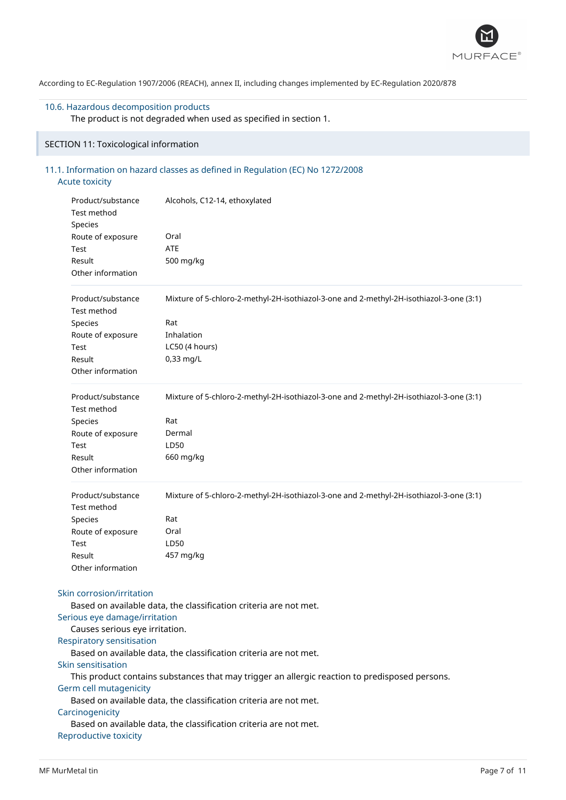

# 10.6. Hazardous decomposition products

The product is not degraded when used as specified in section 1.

# SECTION 11: Toxicological information

# 11.1. Information on hazard classes as defined in Regulation (EC) No 1272/2008 Acute toxicity

|        | Product/substance<br>Test method<br>Species                                                    | Alcohols, C12-14, ethoxylated                                                                  |  |  |  |
|--------|------------------------------------------------------------------------------------------------|------------------------------------------------------------------------------------------------|--|--|--|
|        | Route of exposure                                                                              | Oral                                                                                           |  |  |  |
|        | Test                                                                                           | <b>ATE</b>                                                                                     |  |  |  |
| Result |                                                                                                | 500 mg/kg                                                                                      |  |  |  |
|        | Other information                                                                              |                                                                                                |  |  |  |
|        | Product/substance<br>Test method                                                               | Mixture of 5-chloro-2-methyl-2H-isothiazol-3-one and 2-methyl-2H-isothiazol-3-one (3:1)        |  |  |  |
|        | Species                                                                                        | Rat                                                                                            |  |  |  |
|        | Route of exposure                                                                              | Inhalation                                                                                     |  |  |  |
|        | Test                                                                                           | LC50 (4 hours)                                                                                 |  |  |  |
|        | Result                                                                                         | $0,33$ mg/L                                                                                    |  |  |  |
|        | Other information                                                                              |                                                                                                |  |  |  |
|        | Product/substance<br>Test method                                                               | Mixture of 5-chloro-2-methyl-2H-isothiazol-3-one and 2-methyl-2H-isothiazol-3-one (3:1)<br>Rat |  |  |  |
|        | Species                                                                                        | Dermal                                                                                         |  |  |  |
|        | Route of exposure                                                                              | LD50                                                                                           |  |  |  |
|        | Test<br>Result                                                                                 | 660 mg/kg                                                                                      |  |  |  |
|        | Other information                                                                              |                                                                                                |  |  |  |
|        | Product/substance<br>Test method                                                               | Mixture of 5-chloro-2-methyl-2H-isothiazol-3-one and 2-methyl-2H-isothiazol-3-one (3:1)        |  |  |  |
|        | Species                                                                                        | Rat                                                                                            |  |  |  |
|        | Route of exposure                                                                              | Oral                                                                                           |  |  |  |
|        | Test                                                                                           | LD50                                                                                           |  |  |  |
|        | Result                                                                                         | 457 mg/kg                                                                                      |  |  |  |
|        | Other information                                                                              |                                                                                                |  |  |  |
|        | Skin corrosion/irritation<br>Serious eye damage/irritation                                     | Based on available data, the classification criteria are not met.                              |  |  |  |
|        | Causes serious eye irritation.                                                                 |                                                                                                |  |  |  |
|        | Respiratory sensitisation                                                                      |                                                                                                |  |  |  |
|        |                                                                                                | Based on available data, the classification criteria are not met.                              |  |  |  |
|        | Skin sensitisation                                                                             |                                                                                                |  |  |  |
|        | This product contains substances that may trigger an allergic reaction to predisposed persons. |                                                                                                |  |  |  |
|        | Germ cell mutagenicity                                                                         |                                                                                                |  |  |  |
|        |                                                                                                | Based on available data, the classification criteria are not met.                              |  |  |  |
|        | Carcinogenicity                                                                                |                                                                                                |  |  |  |
|        |                                                                                                | Based on available data, the classification criteria are not met.                              |  |  |  |
|        | Reproductive toxicity                                                                          |                                                                                                |  |  |  |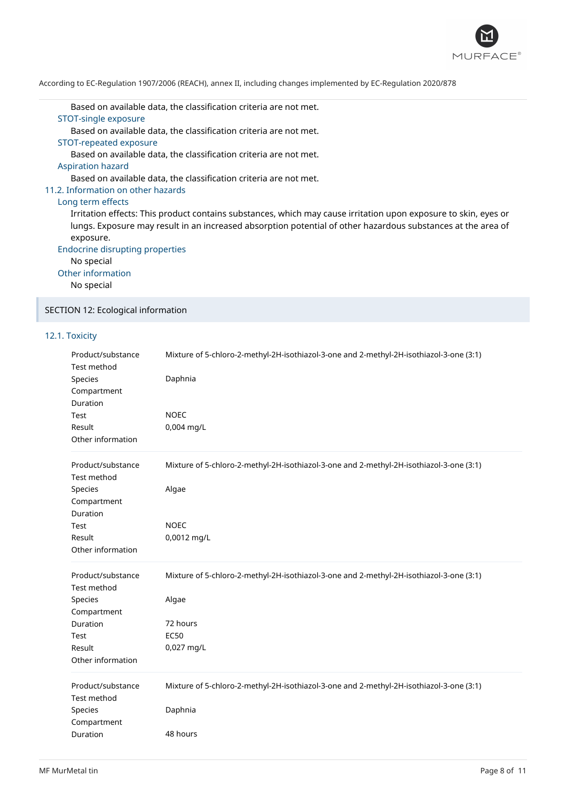

Based on available data, the classification criteria are not met.

# STOT-single exposure

Based on available data, the classification criteria are not met.

STOT-repeated exposure

Based on available data, the classification criteria are not met.

Aspiration hazard

Based on available data, the classification criteria are not met.

### 11.2. Information on other hazards

### Long term effects

Irritation effects: This product contains substances, which may cause irritation upon exposure to skin, eyes or lungs. Exposure may result in an increased absorption potential of other hazardous substances at the area of exposure.

Endocrine disrupting properties

No special

Other information

No special

SECTION 12: Ecological information

# 12.1. Toxicity

| Product/substance<br>Test method<br>Species<br>Compartment<br>Duration<br>Test<br>Result<br>Other information | Mixture of 5-chloro-2-methyl-2H-isothiazol-3-one and 2-methyl-2H-isothiazol-3-one (3:1)<br>Daphnia<br><b>NOEC</b><br>0,004 mg/L |
|---------------------------------------------------------------------------------------------------------------|---------------------------------------------------------------------------------------------------------------------------------|
| Product/substance<br>Test method                                                                              | Mixture of 5-chloro-2-methyl-2H-isothiazol-3-one and 2-methyl-2H-isothiazol-3-one (3:1)                                         |
| Species<br>Compartment<br>Duration                                                                            | Algae                                                                                                                           |
| Test                                                                                                          | <b>NOEC</b>                                                                                                                     |
| Result<br>Other information                                                                                   | 0,0012 mg/L                                                                                                                     |
| Product/substance<br>Test method                                                                              | Mixture of 5-chloro-2-methyl-2H-isothiazol-3-one and 2-methyl-2H-isothiazol-3-one (3:1)                                         |
| Species<br>Compartment                                                                                        | Algae                                                                                                                           |
| Duration                                                                                                      | 72 hours                                                                                                                        |
| Test                                                                                                          | <b>EC50</b>                                                                                                                     |
| Result                                                                                                        | 0,027 mg/L                                                                                                                      |
| Other information                                                                                             |                                                                                                                                 |
| Product/substance<br>Test method                                                                              | Mixture of 5-chloro-2-methyl-2H-isothiazol-3-one and 2-methyl-2H-isothiazol-3-one (3:1)                                         |
| Species<br>Compartment                                                                                        | Daphnia                                                                                                                         |
| Duration                                                                                                      | 48 hours                                                                                                                        |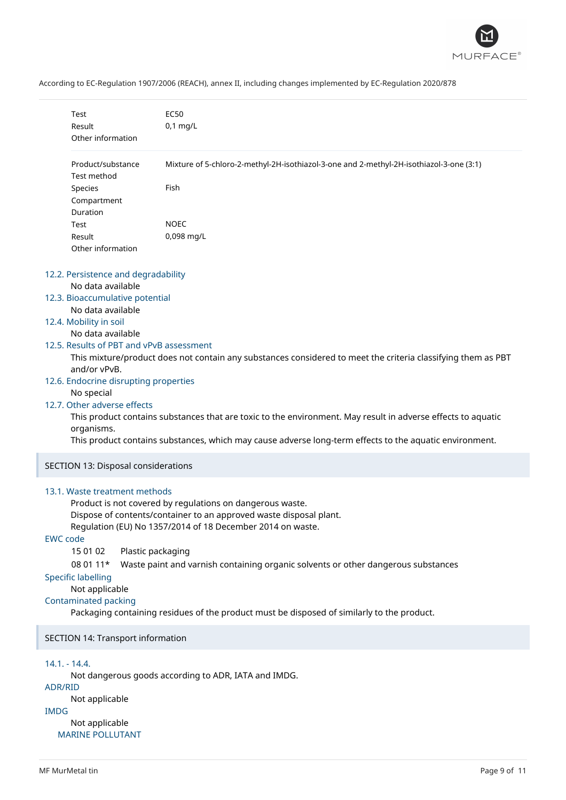

|                 | Test<br>Result<br>Other information                                                                                                                                                                                                                                                                                             | <b>EC50</b><br>$0,1$ mg/L                                                                                                                                                                                                                                                                                                                                                                             |  |
|-----------------|---------------------------------------------------------------------------------------------------------------------------------------------------------------------------------------------------------------------------------------------------------------------------------------------------------------------------------|-------------------------------------------------------------------------------------------------------------------------------------------------------------------------------------------------------------------------------------------------------------------------------------------------------------------------------------------------------------------------------------------------------|--|
|                 | Product/substance<br>Test method                                                                                                                                                                                                                                                                                                | Mixture of 5-chloro-2-methyl-2H-isothiazol-3-one and 2-methyl-2H-isothiazol-3-one (3:1)                                                                                                                                                                                                                                                                                                               |  |
|                 | Species<br>Compartment<br>Duration                                                                                                                                                                                                                                                                                              | Fish                                                                                                                                                                                                                                                                                                                                                                                                  |  |
|                 | Test<br>Result<br>Other information                                                                                                                                                                                                                                                                                             | <b>NOEC</b><br>0,098 mg/L                                                                                                                                                                                                                                                                                                                                                                             |  |
|                 | 12.2. Persistence and degradability<br>No data available<br>12.3. Bioaccumulative potential<br>No data available<br>12.4. Mobility in soil<br>No data available<br>12.5. Results of PBT and vPvB assessment<br>and/or vPvB.<br>12.6. Endocrine disrupting properties<br>No special<br>12.7. Other adverse effects<br>organisms. | This mixture/product does not contain any substances considered to meet the criteria classifying them as PBT<br>This product contains substances that are toxic to the environment. May result in adverse effects to aquatic<br>This product contains substances, which may cause adverse long-term effects to the aquatic environment.                                                               |  |
|                 | SECTION 13: Disposal considerations                                                                                                                                                                                                                                                                                             |                                                                                                                                                                                                                                                                                                                                                                                                       |  |
| <b>EWC</b> code | 13.1. Waste treatment methods<br>15 01 02<br>08 01 11*<br><b>Specific labelling</b><br>Not applicable<br><b>Contaminated packing</b>                                                                                                                                                                                            | Product is not covered by regulations on dangerous waste.<br>Dispose of contents/container to an approved waste disposal plant.<br>Regulation (EU) No 1357/2014 of 18 December 2014 on waste.<br>Plastic packaging<br>Waste paint and varnish containing organic solvents or other dangerous substances<br>Packaging containing residues of the product must be disposed of similarly to the product. |  |
|                 | SECTION 14: Transport information                                                                                                                                                                                                                                                                                               |                                                                                                                                                                                                                                                                                                                                                                                                       |  |
| <b>ADR/RID</b>  | $14.1 - 14.4.$                                                                                                                                                                                                                                                                                                                  | Not dangerous goods according to ADR, IATA and IMDG.                                                                                                                                                                                                                                                                                                                                                  |  |

Not applicable

IMDG

Not applicable MARINE POLLUTANT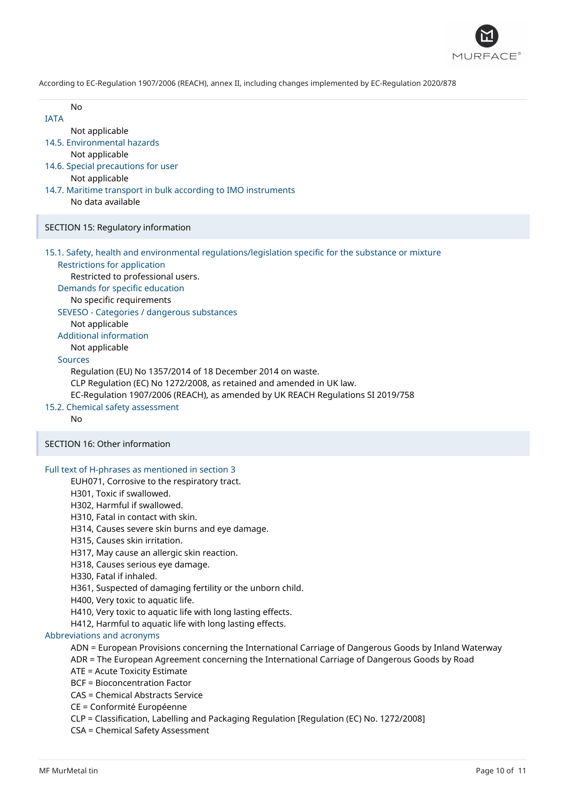

- **IATA** 
	- Not applicable
- 14.5. Environmental hazards
	- Not applicable
- 14.6. Special precautions for user
	- Not applicable
- 14.7. Maritime transport in bulk according to IMO instruments No data available

### SECTION 15: Regulatory information

15.1. Safety, health and environmental regulations/legislation specific for the substance or mixture

Restrictions for application Restricted to professional users.

Demands for specific education

No specific requirements

### SEVESO - Categories / dangerous substances

Not applicable

### Additional information

Not applicable

# Sources

Regulation (EU) No 1357/2014 of 18 December 2014 on waste. CLP Regulation (EC) No 1272/2008, as retained and amended in UK law. EC-Regulation 1907/2006 (REACH), as amended by UK REACH Regulations SI 2019/758

15.2. Chemical safety assessment

No

# SECTION 16: Other information

### Full text of H-phrases as mentioned in section 3

### EUH071, Corrosive to the respiratory tract.

- H301, Toxic if swallowed.
- H302, Harmful if swallowed.
- H310, Fatal in contact with skin.
- H314, Causes severe skin burns and eye damage.
- H315, Causes skin irritation.
- H317, May cause an allergic skin reaction.
- H318, Causes serious eye damage.
- H330, Fatal if inhaled.
- H361, Suspected of damaging fertility or the unborn child.
- H400, Very toxic to aquatic life.
- H410, Very toxic to aquatic life with long lasting effects.
- H412, Harmful to aquatic life with long lasting effects.

### Abbreviations and acronyms

- ADN = European Provisions concerning the International Carriage of Dangerous Goods by Inland Waterway
- ADR = The European Agreement concerning the International Carriage of Dangerous Goods by Road
- ATE = Acute Toxicity Estimate
- BCF = Bioconcentration Factor
- CAS = Chemical Abstracts Service
- CE = Conformité Européenne
- CLP = Classification, Labelling and Packaging Regulation [Regulation (EC) No. 1272/2008]
- CSA = Chemical Safety Assessment